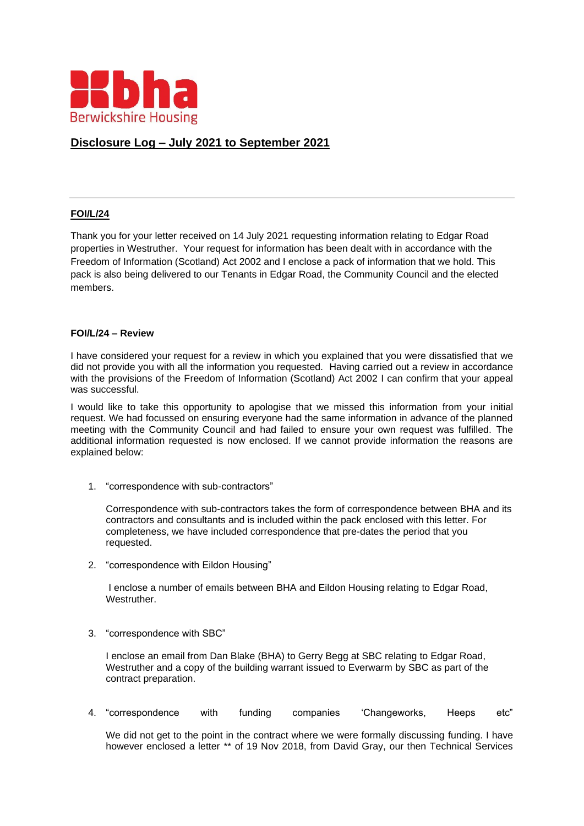

# **Disclosure Log – July 2021 to September 2021**

### **FOI/L/24**

Thank you for your letter received on 14 July 2021 requesting information relating to Edgar Road properties in Westruther. Your request for information has been dealt with in accordance with the Freedom of Information (Scotland) Act 2002 and I enclose a pack of information that we hold. This pack is also being delivered to our Tenants in Edgar Road, the Community Council and the elected members.

#### **FOI/L/24 – Review**

I have considered your request for a review in which you explained that you were dissatisfied that we did not provide you with all the information you requested. Having carried out a review in accordance with the provisions of the Freedom of Information (Scotland) Act 2002 I can confirm that your appeal was successful.

I would like to take this opportunity to apologise that we missed this information from your initial request. We had focussed on ensuring everyone had the same information in advance of the planned meeting with the Community Council and had failed to ensure your own request was fulfilled. The additional information requested is now enclosed. If we cannot provide information the reasons are explained below:

1. "correspondence with sub-contractors"

Correspondence with sub-contractors takes the form of correspondence between BHA and its contractors and consultants and is included within the pack enclosed with this letter. For completeness, we have included correspondence that pre-dates the period that you requested.

2. "correspondence with Eildon Housing"

I enclose a number of emails between BHA and Eildon Housing relating to Edgar Road, Westruther.

3. "correspondence with SBC"

I enclose an email from Dan Blake (BHA) to Gerry Begg at SBC relating to Edgar Road, Westruther and a copy of the building warrant issued to Everwarm by SBC as part of the contract preparation.

4. "correspondence with funding companies 'Changeworks, Heeps etc"

We did not get to the point in the contract where we were formally discussing funding. I have however enclosed a letter \*\* of 19 Nov 2018, from David Gray, our then Technical Services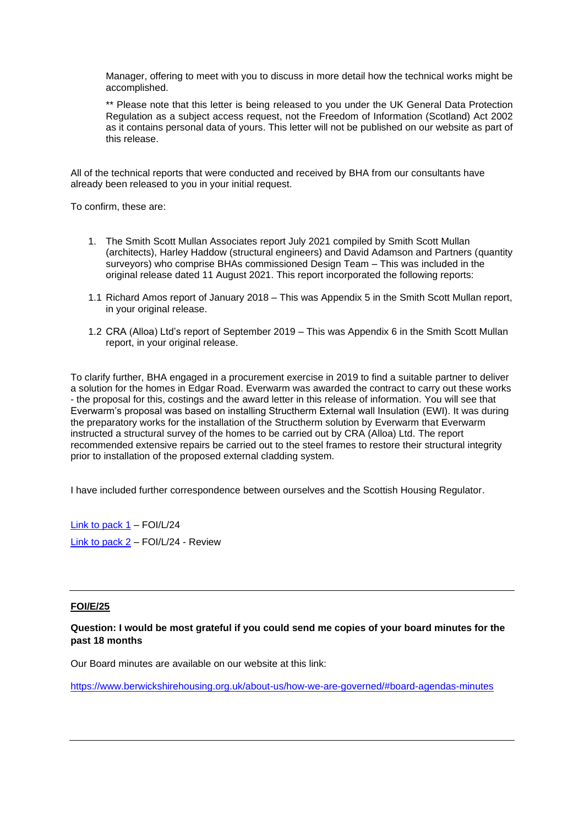Manager, offering to meet with you to discuss in more detail how the technical works might be accomplished.

\*\* Please note that this letter is being released to you under the UK General Data Protection Regulation as a subject access request, not the Freedom of Information (Scotland) Act 2002 as it contains personal data of yours. This letter will not be published on our website as part of this release.

All of the technical reports that were conducted and received by BHA from our consultants have already been released to you in your initial request.

To confirm, these are:

- 1. The Smith Scott Mullan Associates report July 2021 compiled by Smith Scott Mullan (architects), Harley Haddow (structural engineers) and David Adamson and Partners (quantity surveyors) who comprise BHAs commissioned Design Team – This was included in the original release dated 11 August 2021. This report incorporated the following reports:
- 1.1 Richard Amos report of January 2018 This was Appendix 5 in the Smith Scott Mullan report, in your original release.
- 1.2 CRA (Alloa) Ltd's report of September 2019 This was Appendix 6 in the Smith Scott Mullan report, in your original release.

To clarify further, BHA engaged in a procurement exercise in 2019 to find a suitable partner to deliver a solution for the homes in Edgar Road. Everwarm was awarded the contract to carry out these works - the proposal for this, costings and the award letter in this release of information. You will see that Everwarm's proposal was based on installing Structherm External wall Insulation (EWI). It was during the preparatory works for the installation of the Structherm solution by Everwarm that Everwarm instructed a structural survey of the homes to be carried out by CRA (Alloa) Ltd. The report recommended extensive repairs be carried out to the steel frames to restore their structural integrity prior to installation of the proposed external cladding system.

I have included further correspondence between ourselves and the Scottish Housing Regulator.

Link [to pack 1](https://www.berwickshirehousing.org.uk/wp-content/uploads/2021/09/Part-1-INFORMATION-PACK-FOI-l-24-and-E-26.pdf) – FOI/L/24 [Link to pack 2](https://www.berwickshirehousing.org.uk/wp-content/uploads/2021/09/Part-2-INFORMATION-PACK-FOI-l-24-and-E-26.pdf) – FOI/L/24 - Review

### **FOI/E/25**

## **Question: I would be most grateful if you could send me copies of your board minutes for the past 18 months**

Our Board minutes are available on our website at this link:

<https://www.berwickshirehousing.org.uk/about-us/how-we-are-governed/#board-agendas-minutes>